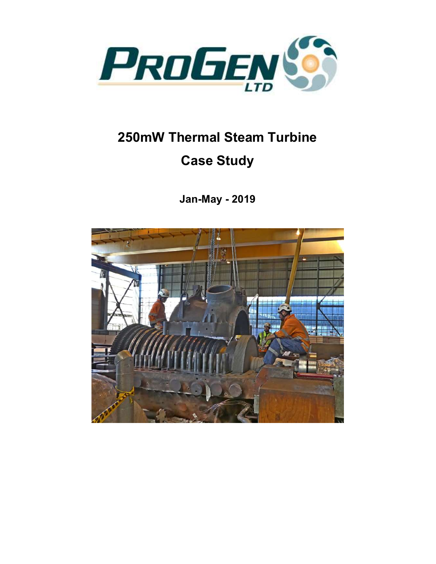

## 250mW Thermal Steam Turbine Case Study

Jan-May - 2019

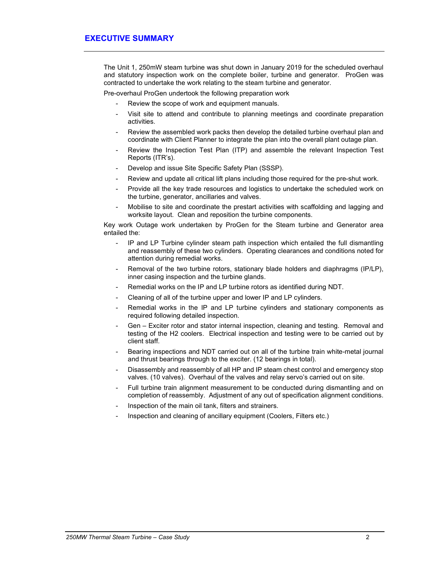The Unit 1, 250mW steam turbine was shut down in January 2019 for the scheduled overhaul and statutory inspection work on the complete boiler, turbine and generator. ProGen was contracted to undertake the work relating to the steam turbine and generator.

Pre-overhaul ProGen undertook the following preparation work

- Review the scope of work and equipment manuals.
- Visit site to attend and contribute to planning meetings and coordinate preparation activities.
- Review the assembled work packs then develop the detailed turbine overhaul plan and coordinate with Client Planner to integrate the plan into the overall plant outage plan.
- Review the Inspection Test Plan (ITP) and assemble the relevant Inspection Test Reports (ITR's).
- Develop and issue Site Specific Safety Plan (SSSP).
- Review and update all critical lift plans including those required for the pre-shut work.
- Provide all the key trade resources and logistics to undertake the scheduled work on the turbine, generator, ancillaries and valves.
- Mobilise to site and coordinate the prestart activities with scaffolding and lagging and worksite layout. Clean and reposition the turbine components.

Key work Outage work undertaken by ProGen for the Steam turbine and Generator area entailed the:

- IP and LP Turbine cylinder steam path inspection which entailed the full dismantling and reassembly of these two cylinders. Operating clearances and conditions noted for attention during remedial works.
- Removal of the two turbine rotors, stationary blade holders and diaphragms (IP/LP), inner casing inspection and the turbine glands.
- Remedial works on the IP and LP turbine rotors as identified during NDT.
- Cleaning of all of the turbine upper and lower IP and LP cylinders.
- Remedial works in the IP and LP turbine cylinders and stationary components as required following detailed inspection.
- Gen Exciter rotor and stator internal inspection, cleaning and testing. Removal and testing of the H2 coolers. Electrical inspection and testing were to be carried out by client staff.
- Bearing inspections and NDT carried out on all of the turbine train white-metal journal and thrust bearings through to the exciter. (12 bearings in total).
- Disassembly and reassembly of all HP and IP steam chest control and emergency stop valves. (10 valves). Overhaul of the valves and relay servo's carried out on site.
- Full turbine train alignment measurement to be conducted during dismantling and on completion of reassembly. Adjustment of any out of specification alignment conditions.
- Inspection of the main oil tank, filters and strainers.
- Inspection and cleaning of ancillary equipment (Coolers, Filters etc.)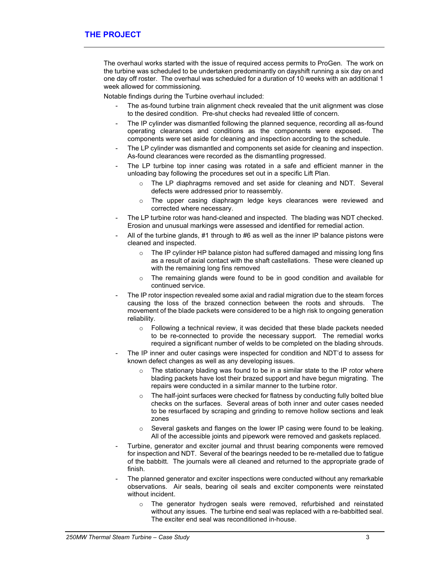The overhaul works started with the issue of required access permits to ProGen. The work on the turbine was scheduled to be undertaken predominantly on dayshift running a six day on and one day off roster. The overhaul was scheduled for a duration of 10 weeks with an additional 1 week allowed for commissioning.

Notable findings during the Turbine overhaul included:

- The as-found turbine train alignment check revealed that the unit alignment was close to the desired condition. Pre-shut checks had revealed little of concern.
- The IP cylinder was dismantled following the planned sequence, recording all as-found operating clearances and conditions as the components were exposed. The components were set aside for cleaning and inspection according to the schedule.
- The LP cylinder was dismantled and components set aside for cleaning and inspection. As-found clearances were recorded as the dismantling progressed.
- The LP turbine top inner casing was rotated in a safe and efficient manner in the unloading bay following the procedures set out in a specific Lift Plan.
	- $\circ$  The LP diaphragms removed and set aside for cleaning and NDT. Several defects were addressed prior to reassembly.
	- The upper casing diaphragm ledge keys clearances were reviewed and corrected where necessary.
- The LP turbine rotor was hand-cleaned and inspected. The blading was NDT checked. Erosion and unusual markings were assessed and identified for remedial action.
- All of the turbine glands, #1 through to #6 as well as the inner IP balance pistons were cleaned and inspected.
	- $\circ$  The IP cylinder HP balance piston had suffered damaged and missing long fins as a result of axial contact with the shaft castellations. These were cleaned up with the remaining long fins removed
	- o The remaining glands were found to be in good condition and available for continued service.
- The IP rotor inspection revealed some axial and radial migration due to the steam forces causing the loss of the brazed connection between the roots and shrouds. The movement of the blade packets were considered to be a high risk to ongoing generation reliability.
	- o Following a technical review, it was decided that these blade packets needed to be re-connected to provide the necessary support. The remedial works required a significant number of welds to be completed on the blading shrouds.
- The IP inner and outer casings were inspected for condition and NDT'd to assess for known defect changes as well as any developing issues.
	- $\circ$  The stationary blading was found to be in a similar state to the IP rotor where blading packets have lost their brazed support and have begun migrating. The repairs were conducted in a similar manner to the turbine rotor.
	- $\circ$  The half-joint surfaces were checked for flatness by conducting fully bolted blue checks on the surfaces. Several areas of both inner and outer cases needed to be resurfaced by scraping and grinding to remove hollow sections and leak zones
	- $\circ$  Several gaskets and flanges on the lower IP casing were found to be leaking. All of the accessible joints and pipework were removed and gaskets replaced.
- Turbine, generator and exciter journal and thrust bearing components were removed for inspection and NDT. Several of the bearings needed to be re-metalled due to fatigue of the babbitt. The journals were all cleaned and returned to the appropriate grade of finish.
- The planned generator and exciter inspections were conducted without any remarkable observations. Air seals, bearing oil seals and exciter components were reinstated without incident.
	- $\circ$  The generator hydrogen seals were removed, refurbished and reinstated without any issues. The turbine end seal was replaced with a re-babbitted seal. The exciter end seal was reconditioned in-house.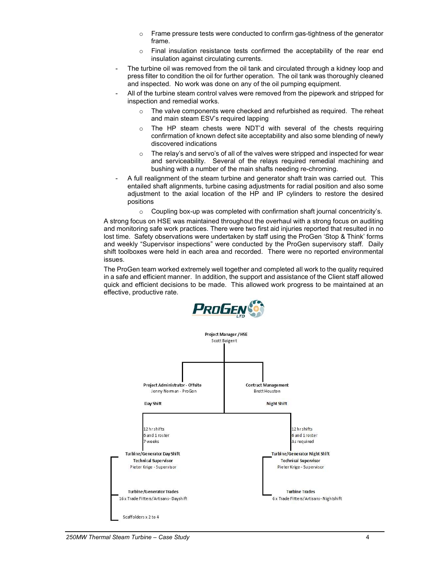- $\circ$  Frame pressure tests were conducted to confirm gas-tightness of the generator frame.
- $\circ$  Final insulation resistance tests confirmed the acceptability of the rear end insulation against circulating currents.
- The turbine oil was removed from the oil tank and circulated through a kidney loop and press filter to condition the oil for further operation. The oil tank was thoroughly cleaned and inspected. No work was done on any of the oil pumping equipment.
- All of the turbine steam control valves were removed from the pipework and stripped for inspection and remedial works.
	- $\circ$  The valve components were checked and refurbished as required. The reheat and main steam ESV's required lapping
	- $\circ$  The HP steam chests were NDT'd with several of the chests requiring confirmation of known defect site acceptability and also some blending of newly discovered indications
	- The relay's and servo's of all of the valves were stripped and inspected for wear and serviceability. Several of the relays required remedial machining and bushing with a number of the main shafts needing re-chroming.
- A full realignment of the steam turbine and generator shaft train was carried out. This entailed shaft alignments, turbine casing adjustments for radial position and also some adjustment to the axial location of the HP and IP cylinders to restore the desired positions
	- o Coupling box-up was completed with confirmation shaft journal concentricity's.

A strong focus on HSE was maintained throughout the overhaul with a strong focus on auditing and monitoring safe work practices. There were two first aid injuries reported that resulted in no lost time. Safety observations were undertaken by staff using the ProGen 'Stop & Think' forms and weekly "Supervisor inspections" were conducted by the ProGen supervisory staff. Daily shift toolboxes were held in each area and recorded. There were no reported environmental issues.

The ProGen team worked extremely well together and completed all work to the quality required in a safe and efficient manner. In addition, the support and assistance of the Client staff allowed quick and efficient decisions to be made. This allowed work progress to be maintained at an effective, productive rate.



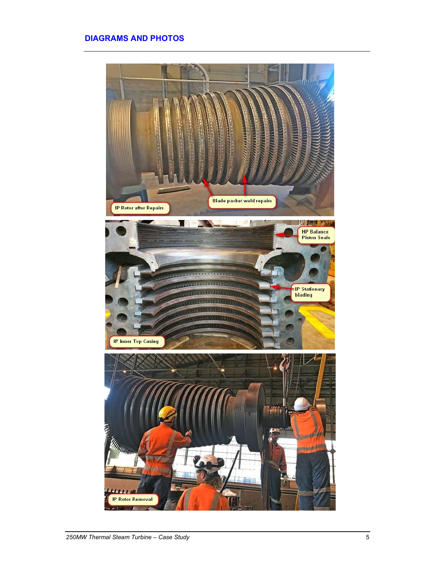## DIAGRAMS AND PHOTOS